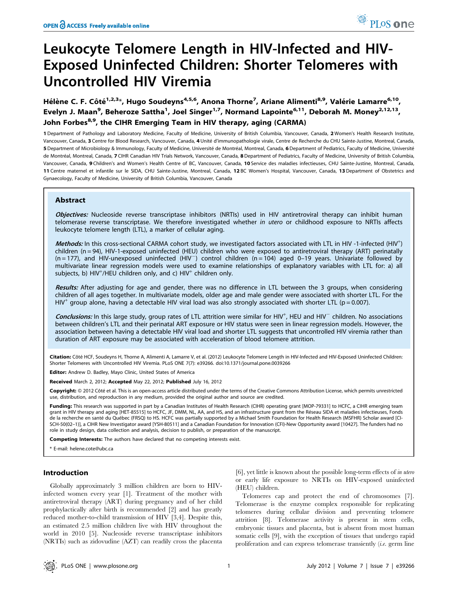# Leukocyte Telomere Length in HIV-Infected and HIV-Exposed Uninfected Children: Shorter Telomeres with Uncontrolled HIV Viremia

Hélène C. F. Côté<sup>1,2,3</sup>\*, Hugo Soudeyns<sup>4,5,6</sup>, Anona Thorne<sup>7</sup>, Ariane Alimenti<sup>8,9</sup>, Valérie Lamarre<sup>6,10</sup>, Evelyn J. Maan<sup>9</sup>, Beheroze Sattha<sup>1</sup>, Joel Singer<sup>1,7</sup>, Normand Lapointe<sup>6,11</sup>, Deborah M. Money<sup>2,12,13</sup>, John Forbes<sup>8,9</sup>, the CIHR Emerging Team in HIV therapy, aging (CARMA)

1 Department of Pathology and Laboratory Medicine, Faculty of Medicine, University of British Columbia, Vancouver, Canada, 2 Women's Health Research Institute, Vancouver, Canada, 3 Centre for Blood Research, Vancouver, Canada, 4 Unité d'immunopathologie virale, Centre de Recherche du CHU Sainte-Justine, Montreal, Canada, 5 Department of Microbiology & Immunology, Faculty of Medicine, Université de Montréal, Montreal, Canada, 6 Department of Pediatrics, Faculty of Medicine, Université de Montréal, Montreal, Canada, 7 CIHR Canadian HIV Trials Network, Vancouver, Canada, 8 Department of Pediatrics, Faculty of Medicine, University of British Columbia, Vancouver, Canada, 9 Children's and Women's Health Centre of BC, Vancouver, Canada, 10 Service des maladies infectieuses, CHU Sainte-Justine, Montreal, Canada, 11 Centre maternel et infantile sur le SIDA, CHU Sainte-Justine, Montreal, Canada, 12 BC Women's Hospital, Vancouver, Canada, 13 Department of Obstetrics and Gynaecology, Faculty of Medicine, University of British Columbia, Vancouver, Canada

# Abstract

Objectives: Nucleoside reverse transcriptase inhibitors (NRTIs) used in HIV antiretroviral therapy can inhibit human telomerase reverse transcriptase. We therefore investigated whether in utero or childhood exposure to NRTIs affects leukocyte telomere length (LTL), a marker of cellular aging.

Methods: In this cross-sectional CARMA cohort study, we investigated factors associated with LTL in HIV -1-infected (HIV<sup>+</sup>) children (n = 94), HIV-1-exposed uninfected (HEU) children who were exposed to antiretroviral therapy (ART) perinatally  $(n = 177)$ , and HIV-unexposed uninfected  $(HIV^-)$  control children  $(n = 104)$  aged 0-19 years. Univariate followed by multivariate linear regression models were used to examine relationships of explanatory variables with LTL for: a) all subjects, b)  $HIV^{+}/HEU$  children only, and c)  $HIV^{+}$  children only.

Results: After adjusting for age and gender, there was no difference in LTL between the 3 groups, when considering children of all ages together. In multivariate models, older age and male gender were associated with shorter LTL. For the  $HIV^+$  group alone, having a detectable HIV viral load was also strongly associated with shorter LTL (p = 0.007).

Conclusions: In this large study, group rates of LTL attrition were similar for HIV<sup>+</sup>, HEU and HIV<sup>-</sup> children. No associations between children's LTL and their perinatal ART exposure or HIV status were seen in linear regression models. However, the association between having a detectable HIV viral load and shorter LTL suggests that uncontrolled HIV viremia rather than duration of ART exposure may be associated with acceleration of blood telomere attrition.

Citation: Côté HCF, Soudeyns H, Thorne A, Alimenti A, Lamarre V, et al. (2012) Leukocyte Telomere Length in HIV-Infected and HIV-Exposed Uninfected Children: Shorter Telomeres with Uncontrolled HIV Viremia. PLoS ONE 7(7): e39266. doi:10.1371/journal.pone.0039266

Editor: Andrew D. Badley, Mayo Clinic, United States of America

Received March 2, 2012; Accepted May 22, 2012; Published July 16, 2012

Copyright: © 2012 Côté et al. This is an open-access article distributed under the terms of the Creative Commons Attribution License, which permits unrestricted use, distribution, and reproduction in any medium, provided the original author and source are credited.

Funding: This research was supported in part by a Canadian Institutes of Health Research (CIHR) operating grant [MOP-79331] to HCFC, a CIHR emerging team grant in HIV therapy and aging [HET-85515] to HCFC, JF, DMM, NL, AA, and HS, and an infrastructure grant from the Reseau SIDA et maladies infectieuses, Fonds de la recherche en santé du Québec (FRSQ) to HS. HCFC was partially supported by a Michael Smith Foundation for Health Research (MSFHR) Scholar award [CI-SCH-50(02–1)], a CIHR New Investigator award [YSH-80511] and a Canadian Foundation for Innovation (CFI)-New Opportunity award [10427]. The funders had no role in study design, data collection and analysis, decision to publish, or preparation of the manuscript.

Competing Interests: The authors have declared that no competing interests exist.

\* E-mail: helene.cote@ubc.ca

## Introduction

Globally approximately 3 million children are born to HIVinfected women every year [1]. Treatment of the mother with antiretroviral therapy (ART) during pregnancy and of her child prophylactically after birth is recommended [2] and has greatly reduced mother-to-child transmission of HIV [3,4]. Despite this, an estimated 2.5 million children live with HIV throughout the world in 2010 [5]. Nucleoside reverse transcriptase inhibitors (NRTIs) such as zidovudine (AZT) can readily cross the placenta

[6], yet little is known about the possible long-term effects of in utero or early life exposure to NRTIs on HIV-exposed uninfected (HEU) children.

Telomeres cap and protect the end of chromosomes [7]. Telomerase is the enzyme complex responsible for replicating telomeres during cellular division and preventing telomere attrition [8]. Telomerase activity is present in stem cells, embryonic tissues and placenta, but is absent from most human somatic cells [9], with the exception of tissues that undergo rapid proliferation and can express telomerase transiently (i.e. germ line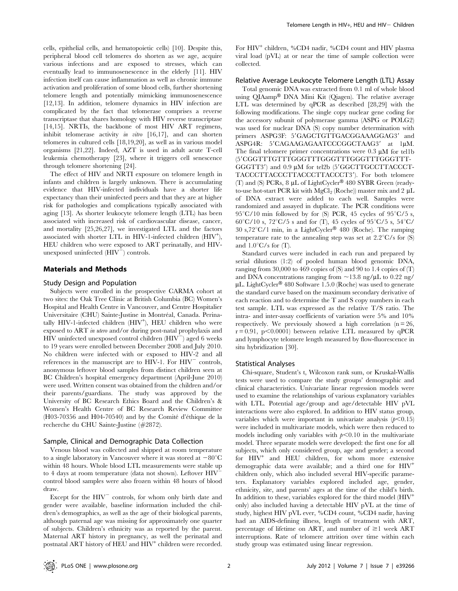cells, epithelial cells, and hematopoietic cells) [10]. Despite this, peripheral blood cell telomeres do shorten as we age, acquire various infections and are exposed to stresses, which can eventually lead to immunosenescence in the elderly [11]. HIV infection itself can cause inflammation as well as chronic immune activation and proliferation of some blood cells, further shortening telomere length and potentially mimicking immunosenescence [12,13]. In addition, telomere dynamics in HIV infection are complicated by the fact that telomerase comprises a reverse transcriptase that shares homology with HIV reverse transcriptase [14,15]. NRTIs, the backbone of most HIV ART regimens, inhibit telomerase activity in vitro [16,17], and can shorten telomeres in cultured cells [18,19,20], as well as in various model organisms [21,22]. Indeed, AZT is used in adult acute T-cell leukemia chemotherapy [23], where it triggers cell senescence through telomere shortening [24].

The effect of HIV and NRTI exposure on telomere length in infants and children is largely unknown. There is accumulating evidence that HIV-infected individuals have a shorter life expectancy than their uninfected peers and that they are at higher risk for pathologies and complications typically associated with aging [13]. As shorter leukocyte telomere length (LTL) has been associated with increased risk of cardiovascular disease, cancer, and mortality [25,26,27], we investigated LTL and the factors associated with shorter LTL in HIV-1-infected children (HIV<sup>+</sup>), HEU children who were exposed to ART perinatally, and HIVunexposed uninfected  $(HIV^-)$  controls.

#### Materials and Methods

#### Study Design and Population

Subjects were enrolled in the prospective CARMA cohort at two sites: the Oak Tree Clinic at British Columbia (BC) Women's Hospital and Health Centre in Vancouver, and Centre Hospitalier Universitaire (CHU) Sainte-Justine in Montréal, Canada. Perinatally HIV-1-infected children (HIV<sup>+</sup>), HEU children who were exposed to ART in utero and/or during post-natal prophylaxis and HIV uninfected unexposed control children  $(HIV^-)$  aged 6 weeks to 19 years were enrolled between December 2008 and July 2010. No children were infected with or exposed to HIV-2 and all references in the manuscript are to HIV-1. For  $HIV^-$  controls, anonymous leftover blood samples from distinct children seen at BC Children's hospital emergency department (April-June 2010) were used. Written consent was obtained from the children and/or their parents/guardians. The study was approved by the University of BC Research Ethics Board and the Children's & Women's Health Centre of BC Research Review Committee  $(H03-70356$  and  $H04-70540$  and by the Comité d'éthique de la recherche du CHU Sainte-Justine (#2872).

#### Sample, Clinical and Demographic Data Collection

Venous blood was collected and shipped at room temperature to a single laboratory in Vancouver where it was stored at  $-80^{\circ}$ C within 48 hours. Whole blood LTL measurements were stable up to 4 days at room temperature (data not shown). Leftover HIV control blood samples were also frozen within 48 hours of blood draw.

Except for the  $HIV^-$  controls, for whom only birth date and gender were available, baseline information included the children's demographics, as well as the age of their biological parents, although paternal age was missing for approximately one quarter of subjects. Children's ethnicity was as reported by the parent. Maternal ART history in pregnancy, as well the perinatal and postnatal ART history of HEU and HIV<sup>+</sup> children were recorded.

For HIV<sup>+</sup> children, %CD4 nadir, %CD4 count and HIV plasma viral load (pVL) at or near the time of sample collection were collected.

## Relative Average Leukocyte Telomere Length (LTL) Assay

Total genomic DNA was extracted from 0.1 ml of whole blood using QIAamp® DNA Mini Kit (Qiagen). The relative average LTL was determined by qPCR as described [28,29] with the following modifications. The single copy nuclear gene coding for the accessory subunit of polymerase gamma (ASPG or POLG2) was used for nuclear DNA (S) copy number determination with primers ASPG3F: 5'GAGCTGTTGACGGAAAGGAG3' and ASPG4R: 5'CAGAAGAGAATCCCGGCTAAG3' at 1uM. The final telomere primer concentrations were  $0.3 \mu M$  for tellb (59CGGTTTGTTTGGGTTTGGGTTTGGGTTTGGGTTT- $GGGTT3'$ ) and 0.9  $\mu$ M for tel2b (5'GGCTTGCCTTACCCT-TACCCTTACCCTTACCCTTACCCT3'). For both telomere (T) and (S) PCRs,  $8 \mu L$  of LightCycler<sup>®</sup> 480 SYBR Green (readyto-use hot-start PCR kit with  $MgCl<sub>2</sub>$  (Roche)) master mix and 2  $\mu L$ of DNA extract were added to each well. Samples were randomized and assayed in duplicate. The PCR conditions were  $95^{\circ}C/10$  min followed by for (S) PCR, 45 cycles of  $95^{\circ}C/5$  s,  $60^{\circ}$ C/10 s,  $72^{\circ}$ C/5 s and for (T), 45 cycles of  $95^{\circ}$ C/5 s,  $54^{\circ}$ C/ 30 s,72 $\degree$ C/1 min, in a LightCycler<sup>®</sup> 480 (Roche). The ramping temperature rate to the annealing step was set at  $2.2^{\circ}C/s$  for (S) and  $1.0^{\circ}$ C/s for (T).

Standard curves were included in each run and prepared by serial dilutions (1:2) of pooled human blood genomic DNA, ranging from 30,000 to 469 copies of (S) and 90 to 1.4 copies of (T) and DNA concentrations ranging from  $\sim$ 13.8 ng/ $\mu$ L to 0.22 ng/  $\mu$ L. LightCycler<sup>®</sup> 480 Software 1.5.0 (Roche) was used to generate the standard curve based on the maximum secondary derivative of each reaction and to determine the T and S copy numbers in each test sample. LTL was expressed as the relative T/S ratio. The intra- and inter-assay coefficients of variation were 5% and 10% respectively. We previously showed a high correlation  $(n = 26)$ ,  $r = 0.91$ ,  $p < 0.0001$ ) between relative LTL measured by qPCR and lymphocyte telomere length measured by flow-fluorescence in situ hybridization [30].

#### Statistical Analyses

Chi-square, Student's t, Wilcoxon rank sum, or Kruskal-Wallis tests were used to compare the study groups' demographic and clinical characteristics. Univariate linear regression models were used to examine the relationships of various explanatory variables with LTL. Potential age/group and age/detectable HIV pVL interactions were also explored. In addition to HIV status group, variables which were important in univariate analysis  $(p<0.15)$ were included in multivariate models, which were then reduced to models including only variables with  $p<0.10$  in the multivariate model. Three separate models were developed: the first one for all subjects, which only considered group, age and gender; a second for  $HIV^+$  and HEU children, for whom more extensive demographic data were available; and a third one for  $HIV^+$ children only, which also included several HIV-specific parameters. Explanatory variables explored included age, gender, ethnicity, site, and parents' ages at the time of the child's birth. In addition to these, variables explored for the third model (HIV<sup>+</sup> only) also included having a detectable HIV pVL at the time of study, highest HIV pVL ever, %CD4 count, %CD4 nadir, having had an AIDS-defining illness, length of treatment with ART, percentage of lifetime on ART, and number of  $\geq 1$  week ART interruptions. Rate of telomere attrition over time within each study group was estimated using linear regression.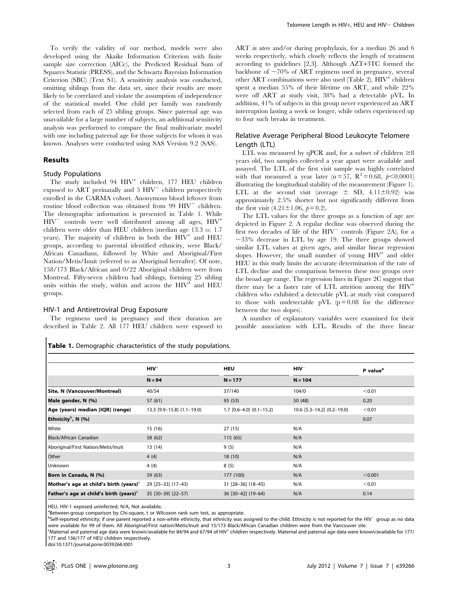To verify the validity of our method, models were also developed using the Akaike Information Criterion with finite sample size correction (AICc), the Predicted Residual Sum of Squares Statistic (PRESS), and the Schwartz Bayesian Information Criterion (SBC) (Text S1). A sensitivity analysis was conducted, omitting siblings from the data set, since their results are more likely to be correlated and violate the assumption of independence of the statistical model. One child per family was randomly selected from each of 25 sibling groups. Since paternal age was unavailable for a large number of subjects, an additional sensitivity analysis was performed to compare the final multivariate model with one including paternal age for those subjects for whom it was known. Analyses were conducted using SAS Version 9.2 (SAS).

## Results

### Study Populations

The study included 94 HIV<sup>+</sup> children, 177 HEU children exposed to ART perinatally and  $5$   $HIV$ <sup> $-$ </sup> children prospectively enrolled in the CARMA cohort. Anonymous blood leftover from routine blood collection was obtained from  $99$   $HIV^-$  children. The demographic information is presented in Table 1. While  $HIV$ <sup>-</sup> controls were well distributed among all ages,  $HIV$ <sup>+</sup> children were older than HEU children (median age 13.3 vs. 1.7 years). The majority of children in both the  $HIV<sup>+</sup>$  and  $HEU$ groups, according to parental identified ethnicity, were Black/ African Canadians, followed by White and Aboriginal/First Nation/Metis/Inuit (referred to as Aboriginal hereafter). Of note, 158/173 Black/African and 0/22 Aboriginal children were from Montreal. Fifty-seven children had siblings, forming 25 sibling units within the study, within and across the  $HIV<sup>+</sup>$  and  $HEU$ groups.

#### HIV-1 and Antiretroviral Drug Exposure

The regimens used in pregnancy and their duration are described in Table 2. All 177 HEU children were exposed to

Table 1. Demographic characteristics of the study populations.

ART *in utero* and/or during prophylaxis, for a median 26 and 6 weeks respectively, which closely reflects the length of treatment according to guidelines [2,3]. Although AZT+3TC formed the backbone of  $\sim70\%$  of ART regimens used in pregnancy, several other ART combinations were also used (Table 2).  $HIV^+$  children spent a median 55% of their lifetime on ART, and while 22% were off ART at study visit, 38% had a detectable pVL. In addition, 41% of subjects in this group never experienced an ART interruption lasting a week or longer, while others experienced up to four such breaks in treatment.

# Relative Average Peripheral Blood Leukocyte Telomere Length (LTL)

LTL was measured by qPCR and, for a subset of children  $\geq 8$ years old, two samples collected a year apart were available and assayed. The LTL of the first visit sample was highly correlated with that measured a year later (n = 57,  $R^2 = 0.68$ ,  $p < 0.0001$ ) illustrating the longitudinal stability of the measurement (Figure 1). LTL at the second visit (average  $\pm$  SD, 4.11 $\pm$ 0.92) was approximately 2.5% shorter but not significantly different from the first visit  $(4.21 \pm 1.06, p = 0.2)$ .

The LTL values for the three groups as a function of age are depicted in Figure 2. A regular decline was observed during the first two decades of life of the  $HIV$ <sup> $-$ </sup> controls (Figure 2A), for a  $\sim$ 33% decrease in LTL by age 19. The three groups showed similar LTL values at given ages, and similar linear regression slopes. However, the small number of young  $HIV^+$  and older HEU in this study limits the accurate determination of the rate of LTL decline and the comparison between these two groups over the broad age range. The regression lines in Figure 2C suggest that there may be a faster rate of LTL attrition among the  $HIV^+$ children who exhibited a detectable pVL at study visit compared to those with undetectable pVL  $(p=0.08)$  for the difference between the two slopes).

A number of explanatory variables were examined for their possible association with LTL. Results of the three linear

|                                                    | $HIV+$                     | <b>HEU</b>                 | $HIV^-$                      | P value <sup>a</sup> |  |
|----------------------------------------------------|----------------------------|----------------------------|------------------------------|----------------------|--|
|                                                    | $N = 94$                   | $N = 177$                  | $N = 104$                    |                      |  |
| Site, N (Vancouver/Montreal)                       | 40/54                      | 37/140                     | 104/0                        | < 0.01               |  |
| Male gender, N (%)                                 | 57 (61)                    | 93 (53)                    | 50 (48)                      | 0.20                 |  |
| Age (years) median [IQR] (range)                   | 13.3 [9.9-15.8] (1.1-19.0) | $1.7$ [0.6-4.0] (0.1-15.2) | $10.6$ [5.3-14.2] (0.2-19.0) | < 0.01               |  |
| Ethnicity <sup>b</sup> , N $(%)$                   |                            |                            |                              | 0.07                 |  |
| White                                              | 15 (16)                    | 27(15)                     | N/A                          |                      |  |
| Black/African Canadian                             | 58 (62)                    | 115(65)                    | N/A                          |                      |  |
| Aboriginal/First Nation/Metis/Inuit                | 13(14)                     | 9(5)                       | N/A                          |                      |  |
| Other                                              | 4(4)                       | 18(10)                     | N/A                          |                      |  |
| Unknown                                            | 4(4)                       | 8(5)                       | N/A                          |                      |  |
| Born in Canada, N (%)                              | 59 (63)                    | 177 (100)                  | N/A                          | < 0.001              |  |
| Mother's age at child's birth (years) <sup>c</sup> | 29 [25-33] (17-43)         | $31$ [28-36] (18-45)       | N/A                          | < 0.01               |  |
| Father's age at child's birth (years) $c$          | 35 [30-39] (22-57)         | 36 [30-42] (19-64)         | N/A                          | 0.14                 |  |

HEU, HIV-1 exposed uninfected; N/A, Not available;

<sup>a</sup>Between-group comparison by Chi-square, t or Wilcoxon rank sum test, as appropriate.

<sup>b</sup>Self-reported ethnicity; if one parent reported a non-white ethnicity, that ethnicity was assigned to the child. Ethnicity is not reported for the HIV<sup>-</sup> group as no data were available for 99 of them. All Aboriginal/First nation/Metis/Inuit and 15/173 Black/African Canadian children were from the Vancouver site.

-<br>Maternal and paternal age data were known/available for 84/94 and 67/94 of HIV<sup>+</sup> children respectively. Maternal and paternal age data were known/available for 177/ 177 and 136/177 of HEU children respectively.

doi:10.1371/journal.pone.0039266.t001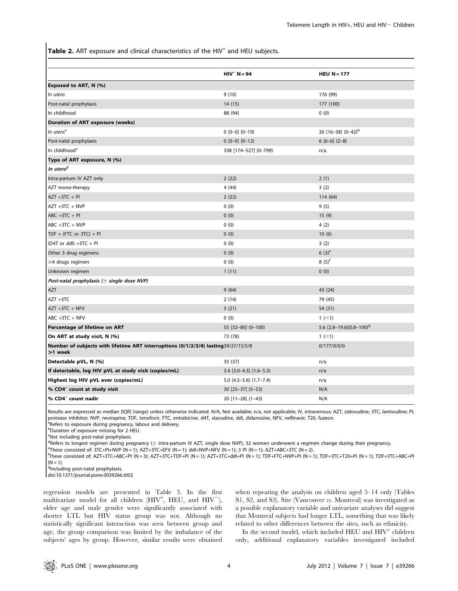Table 2. ART exposure and clinical characteristics of the HIV<sup>+</sup> and HEU subjects.

|                                                                                               | $HIV^+ N = 94$                    | HEU $N = 177$               |
|-----------------------------------------------------------------------------------------------|-----------------------------------|-----------------------------|
| Exposed to ART, N (%)                                                                         |                                   |                             |
| In utero                                                                                      | 9(10)                             | 176 (99)                    |
| Post-natal prophylaxis                                                                        | 14 (15)                           | 177 (100)                   |
| In childhood                                                                                  | 88 (94)                           | 0(0)                        |
| <b>Duration of ART exposure (weeks)</b>                                                       |                                   |                             |
| In utero <sup>a</sup>                                                                         | $0$ [0-0] (0-19)                  | 26 $[16-38]$ $(0-42)^{b}$   |
| Post-natal prophylaxis                                                                        | $0$ $[0-0]$ $(0-12)$              | $6[6-6](2-8)$               |
| In childhood <sup>c</sup>                                                                     | 338 [174-527] (0-799)             | n/a                         |
| Type of ART exposure, N (%)                                                                   |                                   |                             |
| In utero <sup>d</sup>                                                                         |                                   |                             |
| Intra-partum IV AZT only                                                                      | 2(22)                             | 2(1)                        |
| AZT mono-therapy                                                                              | 4(44)                             | 3(2)                        |
| $AZT + 3TC + PI$                                                                              | 2(22)                             | 114 (64)                    |
| $AZT + 3TC + NVP$                                                                             | 0(0)                              | 9(5)                        |
| $ABC +3TC + PI$                                                                               | 0(0)                              | 15(9)                       |
| $ABC +3TC + NVP$                                                                              | 0(0)                              | 4(2)                        |
| TDF + (FTC or $3TC$ ) + PI                                                                    | 0(0)                              | 10(6)                       |
| $(D4T or dd) + 3TC + PI$                                                                      | 0(0)                              | 3(2)                        |
| Other 3 drug regimens                                                                         | 0(0)                              | $6(3)^e$                    |
| $\geq$ 4 drugs regimen                                                                        | 0(0)                              | $8(5)^{f}$                  |
| Unknown regimen                                                                               | 1(11)                             | 0(0)                        |
| Post-natal prophylaxis ( $\pm$ single dose NVP)                                               |                                   |                             |
| AZT                                                                                           | 9(64)                             | 43 (24)                     |
| AZT +3TC                                                                                      | 2(14)                             | 79 (45)                     |
| $AZT + 3TC + NFV$                                                                             | 3(21)                             | 54 (31)                     |
| $ABC +3TC + NFV$                                                                              | 0(0)                              | 1 (< 1)                     |
| Percentage of lifetime on ART                                                                 | 55 [32-80] (0-100)                | 5.6 $[2.8-19.6](0.8-100)^9$ |
| On ART at study visit, N (%)                                                                  | 73 (78)                           | 1 (< 1)                     |
| Number of subjects with lifetime ART interruptions (0/1/2/3/4) lasting39/27/15/5/8<br>>1 week |                                   | 0/177/0/0/0                 |
| Detectable pVL, N (%)                                                                         | 35 (37)                           | n/a                         |
| If detectable, log HIV pVL at study visit (copies/mL)                                         | $3.4$ [ $3.0-4.3$ ] ( $1.6-5.3$ ) | n/a                         |
| Highest log HIV pVL ever (copies/mL)                                                          | $5.0$ [4.5-5.6] $(1.7-7.4)$       | n/a                         |
| % CD4 <sup>+</sup> count at study visit                                                       | $30$ [25-37] (5-53)               | N/A                         |
| $%$ CD4 $+$ count nadir                                                                       | 20 [11-28] (1-43)                 | N/A                         |

Results are expressed as median [IQR] (range) unless otherwise indicated. N/A, Not available; n/a, not applicable; IV, intravenous; AZT, zidovudine; 3TC, lamivudine; PI, protease inhibitor; NVP, nevirapine; TDF, tenofovir, FTC, entrabicine, d4T, stavudine, ddI, didanosine, NFV, nelfinavir; T20, fuzeon. <sup>a</sup>Refers to exposure during pregnancy, labour and delivery.

b Duration of exposure missing for 2 HEU.

c Not including post-natal prophylaxis.

d Refers to longest regimen during pregnancy (± intra-partum IV AZT, single dose NVP), 32 women underwent a regimen change during their pregnancy.<br>EThese consisted of: 3TC+PL+NVP (N = 1): AZT+3TC+FFV (N = 1): ddL+NVP+NFV (

<sup>e</sup>These consisted of:  $3TCAPL+NP$  (N = 1);  $AZT+3TCA+EFV$  (N = 1); ddI+NVP+NFV (N = 1); 3 PI (N = 1); AZT+ABC+3TC (N = 2).

These consisted of: AZT+3TC+ABC+PI (N = 3); AZT+3TC+TDF+PI (N = 1); AZT+3TC+ddI+PI (N = 1); TDF+FTC+NVP+PI (N = 1); TDF+3TC+T20+PI (N = 1); TDF+3TC+ABC+PI  $(N = 1)$ .

<sup>g</sup>Including post-natal prophylaxis.

doi:10.1371/journal.pone.0039266.t002

regression models are presented in Table 3. In the first multivariate model for all children ( $HIV^+$ , HEU, and  $HIV^-$ ), older age and male gender were significantly associated with shorter LTL but HIV status group was not. Although no statistically significant interaction was seen between group and age, the group comparison was limited by the imbalance of the subjects' ages by group. However, similar results were obtained when repeating the analysis on children aged 5–14 only (Tables S1, S2, and S3). Site (Vancouver vs. Montreal) was investigated as a possible explanatory variable and univariate analyses did suggest that Montreal subjects had longer LTL, something that was likely related to other differences between the sites, such as ethnicity.

In the second model, which included HEU and HIV<sup>+</sup> children only, additional explanatory variables investigated included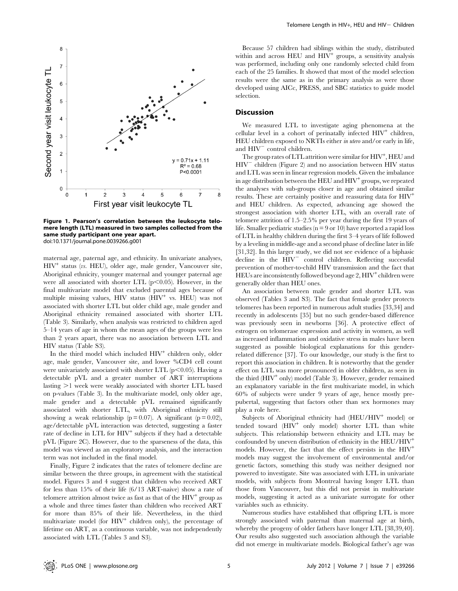

Figure 1. Pearson's correlation between the leukocyte telomere length (LTL) measured in two samples collected from the same study participant one year apart. doi:10.1371/journal.pone.0039266.g001

maternal age, paternal age, and ethnicity. In univariate analyses,  $HIV<sup>+</sup>$  status (*vs.* HEU), older age, male gender, Vancouver site, Aboriginal ethnicity, younger maternal and younger paternal age were all associated with shorter LTL  $(p<0.05)$ . However, in the final multivariate model that excluded parental ages because of multiple missing values, HIV status (HIV<sup>+</sup> vs. HEU) was not associated with shorter LTL but older child age, male gender and Aboriginal ethnicity remained associated with shorter LTL (Table 3). Similarly, when analysis was restricted to children aged 5–14 years of age in whom the mean ages of the groups were less than 2 years apart, there was no association between LTL and HIV status (Table S3).

In the third model which included  $HIV<sup>+</sup>$  children only, older age, male gender, Vancouver site, and lower %CD4 cell count were univariately associated with shorter LTL  $(p<0.05)$ . Having a detectable pVL and a greater number of ART interruptions lasting  $>1$  week were weakly associated with shorter LTL based on p-values (Table 3). In the multivariate model, only older age, male gender and a detectable pVL remained significantly associated with shorter LTL, with Aboriginal ethnicity still showing a weak relationship ( $p = 0.07$ ). A significant ( $p = 0.02$ ), age/detectable pVL interaction was detected, suggesting a faster rate of decline in LTL for HIV<sup>+</sup> subjects if they had a detectable pVL (Figure 2C). However, due to the sparseness of the data, this model was viewed as an exploratory analysis, and the interaction term was not included in the final model.

Finally, Figure 2 indicates that the rates of telomere decline are similar between the three groups, in agreement with the statistical model. Figures 3 and 4 suggest that children who received ART for less than 15% of their life (6/13 ART-naive) show a rate of telomere attrition almost twice as fast as that of the  $HIV<sup>+</sup>$  group as a whole and three times faster than children who received ART for more than 85% of their life. Nevertheless, in the third multivariate model (for  $H\text{IV}^+$  children only), the percentage of lifetime on ART, as a continuous variable, was not independently associated with LTL (Tables 3 and S3).

Because 57 children had siblings within the study, distributed within and across  $HEU$  and  $HIV<sup>+</sup>$  groups, a sensitivity analysis was performed, including only one randomly selected child from each of the 25 families. It showed that most of the model selection results were the same as in the primary analysis as were those developed using AICc, PRESS, and SBC statistics to guide model selection.

#### **Discussion**

We measured LTL to investigate aging phenomena at the cellular level in a cohort of perinatally infected  $HIV<sup>+</sup>$  children, HEU children exposed to NRTIs either in utero and/or early in life, and  $HIV$ <sup> $-$ </sup> control children.

The group rates of LTL attrition were similar for  $\mathrm{HIV}^+, \mathrm{HEU}$  and  $HIV^-$  children (Figure 2) and no association between HIV status and LTL was seen in linear regression models. Given the imbalance in age distribution between the HEU and  $HIV<sup>+</sup>$  groups, we repeated the analyses with sub-groups closer in age and obtained similar results. These are certainly positive and reassuring data for  $HIV^+$ and HEU children. As expected, advancing age showed the strongest association with shorter LTL, with an overall rate of telomere attrition of 1.5–2.5% per year during the first 19 years of life. Smaller pediatric studies ( $n = 9$  or 10) have reported a rapid loss of LTL in healthy children during the first 3–4 years of life followed by a leveling in middle-age and a second phase of decline later in life [31,32]. In this larger study, we did not see evidence of a biphasic decline in the  $HIV$ <sup>-</sup> control children. Reflecting successful prevention of mother-to-child HIV transmission and the fact that HEUs are inconsistently followed beyond age  $2,$  HIV<sup>+</sup> children were generally older than HEU ones.

An association between male gender and shorter LTL was observed (Tables 3 and S3). The fact that female gender protects telomeres has been reported in numerous adult studies [33,34] and recently in adolescents [35] but no such gender-based difference was previously seen in newborns [36]. A protective effect of estrogen on telomerase expression and activity in women, as well as increased inflammation and oxidative stress in males have been suggested as possible biological explanations for this genderrelated difference [37]. To our knowledge, our study is the first to report this association in children. It is noteworthy that the gender effect on LTL was more pronounced in older children, as seen in the third (HIV<sup>+</sup> only) model (Table 3). However, gender remained an explanatory variable in the first multivariate model, in which 60% of subjects were under 9 years of age, hence mostly prepubertal, suggesting that factors other than sex hormones may play a role here.

Subjects of Aboriginal ethnicity had (HEU/HIV<sup>+</sup> model) or tended toward (HIV<sup>+</sup> only model) shorter LTL than white subjects. This relationship between ethnicity and LTL may be confounded by uneven distribution of ethnicity in the HEU/HIV<sup>+</sup> models. However, the fact that the effect persists in the HIV<sup>+</sup> models may suggest the involvement of environmental and/or genetic factors, something this study was neither designed nor powered to investigate. Site was associated with LTL in univariate models, with subjects from Montreal having longer LTL than those from Vancouver, but this did not persist in multivariate models, suggesting it acted as a univariate surrogate for other variables such as ethnicity.

Numerous studies have established that offspring LTL is more strongly associated with paternal than maternal age at birth, whereby the progeny of older fathers have longer LTL [38,39,40]. Our results also suggested such association although the variable did not emerge in multivariate models. Biological father's age was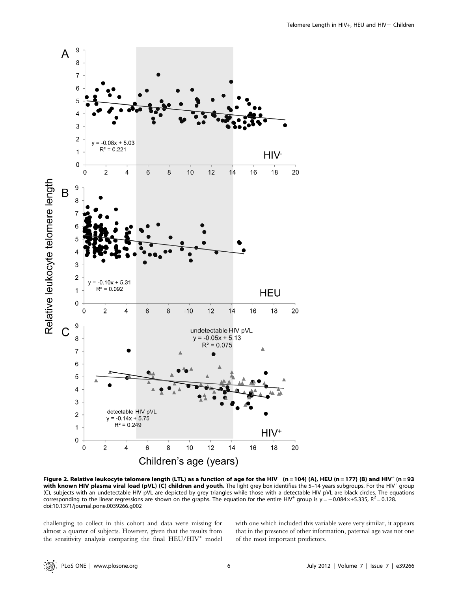

Figure 2. Relative leukocyte telomere length (LTL) as a function of age for the HIV<sup>-</sup> (n = 104) (A), HEU (n = 177) (B) and HIV<sup>+</sup> (n = 93 with known HIV plasma viral load (pVL) (C) children and youth. The light grey box identifies the 5-14 years subgroups. For the HIV<sup>+</sup> group (C), subjects with an undetectable HIV pVL are depicted by grey triangles while those with a detectable HIV pVL are black circles. The equations corresponding to the linear regressions are shown on the graphs. The equation for the entire HIV<sup>+</sup> group is  $y = -0.084 \times +5.335$ ,  $R^2 = 0.128$ . doi:10.1371/journal.pone.0039266.g002

challenging to collect in this cohort and data were missing for almost a quarter of subjects. However, given that the results from the sensitivity analysis comparing the final  $HEU/HIV^+$  model with one which included this variable were very similar, it appears that in the presence of other information, paternal age was not one of the most important predictors.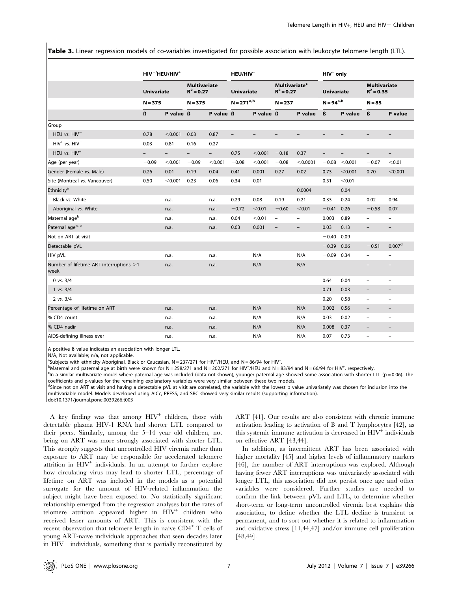Table 3. Linear regression models of co-variables investigated for possible association with leukocyte telomere length (LTL).

|                                                 |                                | $HIV^{-/}HEU/HIV^{+}$ |                                                  |                          | HEU/HIV <sup>+</sup>                 |                          |                                                              |                          | $HIV+$ only                         |                   |                                                 |                          |
|-------------------------------------------------|--------------------------------|-----------------------|--------------------------------------------------|--------------------------|--------------------------------------|--------------------------|--------------------------------------------------------------|--------------------------|-------------------------------------|-------------------|-------------------------------------------------|--------------------------|
|                                                 | <b>Univariate</b><br>$N = 375$ |                       | <b>Multivariate</b><br>$R^2 = 0.27$<br>$N = 375$ |                          | <b>Univariate</b><br>$N = 271^{a,b}$ |                          | <b>Multivariate<sup>c</sup></b><br>$R^2 = 0.27$<br>$N = 237$ |                          | <b>Univariate</b><br>$N = 94^{a,b}$ |                   | <b>Multivariate</b><br>$R^2 = 0.35$<br>$N = 85$ |                          |
|                                                 |                                |                       |                                                  |                          |                                      |                          |                                                              |                          |                                     |                   |                                                 |                          |
|                                                 | ß                              | P value ß             |                                                  | P value ß                |                                      | P value ß                |                                                              | P value                  | ß                                   | P value           | ß                                               | P value                  |
| Group                                           |                                |                       |                                                  |                          |                                      |                          |                                                              |                          |                                     |                   |                                                 |                          |
| HEU vs. HIV <sup>-</sup>                        | 0.78                           | < 0.001               | 0.03                                             | 0.87                     | $\overline{\phantom{a}}$             |                          |                                                              |                          |                                     |                   | -                                               |                          |
| $HIV^{+}$ vs. $HIV^{-}$                         | 0.03                           | 0.81                  | 0.16                                             | 0.27                     | $\qquad \qquad -$                    | $\overline{\phantom{0}}$ | $\qquad \qquad -$                                            | $\qquad \qquad -$        | $\overline{a}$                      |                   | $\overline{a}$                                  |                          |
| HEU vs. HIV <sup>+</sup>                        | $\overline{\phantom{0}}$       | $\qquad \qquad -$     | $\overline{\phantom{a}}$                         | $\overline{\phantom{0}}$ | 0.75                                 | < 0.001                  | $-0.18$                                                      | 0.37                     | $\qquad \qquad -$                   | $\qquad \qquad -$ | $\overline{\phantom{a}}$                        | $\overline{\phantom{m}}$ |
| Age (per year)                                  | $-0.09$                        | < 0.001               | $-0.09$                                          | < 0.001                  | $-0.08$                              | < 0.001                  | $-0.08$                                                      | < 0.0001                 | $-0.08$                             | < 0.001           | $-0.07$                                         | < 0.01                   |
| Gender (Female vs. Male)                        | 0.26                           | 0.01                  | 0.19                                             | 0.04                     | 0.41                                 | 0.001                    | 0.27                                                         | 0.02                     | 0.73                                | < 0.001           | 0.70                                            | < 0.001                  |
| Site (Montreal vs. Vancouver)                   | 0.50                           | < 0.001               | 0.23                                             | 0.06                     | 0.34                                 | 0.01                     | $\overline{\phantom{a}}$                                     | $\overline{\phantom{0}}$ | 0.51                                | < 0.01            | $\overline{\phantom{a}}$                        | $\overline{\phantom{0}}$ |
| Ethnicity <sup>a</sup>                          |                                |                       |                                                  |                          |                                      |                          |                                                              | 0.0004                   |                                     | 0.04              |                                                 |                          |
| Black vs. White                                 |                                | n.a.                  |                                                  | n.a.                     | 0.29                                 | 0.08                     | 0.19                                                         | 0.21                     | 0.33                                | 0.24              | 0.02                                            | 0.94                     |
| Aboriginal vs. White                            |                                | n.a.                  |                                                  | n.a.                     | $-0.72$                              | < 0.01                   | $-0.60$                                                      | < 0.01                   | $-0.41$                             | 0.26              | $-0.58$                                         | 0.07                     |
| Maternal age <sup>b</sup>                       |                                | n.a.                  |                                                  | n.a.                     | 0.04                                 | < 0.01                   | $\overline{\phantom{a}}$                                     | $\qquad \qquad -$        | 0.003                               | 0.89              | $\qquad \qquad -$                               | $\overline{\phantom{a}}$ |
| Paternal ageb, c                                |                                | n.a.                  |                                                  | n.a.                     | 0.03                                 | 0.001                    |                                                              | $\overline{\phantom{0}}$ | 0.03                                | 0.13              | $\overline{\phantom{0}}$                        |                          |
| Not on ART at visit                             |                                |                       |                                                  |                          |                                      |                          |                                                              |                          | $-0.40$                             | 0.09              | $\overline{\phantom{0}}$                        | $\qquad \qquad -$        |
| Detectable pVL                                  |                                |                       |                                                  |                          |                                      |                          |                                                              |                          | $-0.39$                             | 0.06              | $-0.51$                                         | 0.007 <sup>d</sup>       |
| HIV pVL                                         |                                | n.a.                  |                                                  | n.a.                     |                                      | N/A                      |                                                              | N/A                      | $-0.09$ 0.34                        |                   | $\overline{\phantom{0}}$                        | $\overline{a}$           |
| Number of lifetime ART interruptions >1<br>week |                                | n.a.                  |                                                  | n.a.                     |                                      | N/A                      |                                                              | N/A                      |                                     |                   |                                                 |                          |
| $0$ vs. $3/4$                                   |                                |                       |                                                  |                          |                                      |                          |                                                              |                          | 0.64                                | 0.04              | $\overline{\phantom{a}}$                        |                          |
| 1 vs. 3/4                                       |                                |                       |                                                  |                          |                                      |                          |                                                              |                          | 0.71                                | 0.03              | $\overline{\phantom{a}}$                        |                          |
| $2$ vs. $3/4$                                   |                                |                       |                                                  |                          |                                      |                          |                                                              |                          | 0.20                                | 0.58              | $\overline{\phantom{0}}$                        | $\overline{\phantom{0}}$ |
| Percentage of lifetime on ART                   |                                | n.a.                  |                                                  | n.a.                     |                                      | N/A                      |                                                              | N/A                      | 0.002                               | 0.56              | $\overline{\phantom{a}}$                        | $\overline{\phantom{m}}$ |
| % CD4 count                                     |                                | n.a.                  |                                                  | n.a.                     |                                      | N/A                      |                                                              | N/A                      | 0.03                                | 0.02              | $\overline{\phantom{a}}$                        | $\overline{\phantom{0}}$ |
| % CD4 nadir                                     |                                | n.a.                  |                                                  | n.a.                     |                                      | N/A                      |                                                              | N/A                      | 0.008                               | 0.37              | $\overline{\phantom{a}}$                        | $\overline{\phantom{a}}$ |
| AIDS-defining illness ever                      |                                | n.a.                  |                                                  | n.a.                     |                                      | N/A                      |                                                              | N/A                      | 0.07                                | 0.73              | $\overline{a}$                                  | $\qquad \qquad -$        |

A positive ß value indicates an association with longer LTL.

N/A, Not available; n/a, not applicable.

<sup>a</sup>Subjects with ethnicity Aboriginal, Black or Caucasian,  $N = 237/271$  for HIV<sup>+</sup>/HEU, and  $N = 86/94$  for HIV<sup>+</sup><br><sup>b</sup>Maternal and paternal age at birth were known for  $N = 258/271$  and  $N = 202/271$  for HIV<sup>+</sup>/HEU and  $N = 3$ 

 $h$ <sup>b</sup>Maternal and paternal age at birth were known for N = 258/271 and N = 202/271 for HIV<sup>+</sup>/HEU and N = 83/94 and N = 66/94 for HIV<sup>+</sup>, respectively.<br>Sin a similar multivariate model where paternal age was included (da

<sup>c</sup>In a similar multivariate model where paternal age was included (data not shown), younger paternal age showed some association with shorter LTL (p = 0.06). The coefficients and p-values for the remaining explanatory variables were very similar between these two models.

<sup>d</sup>Since not on ART at visit and having a detectable pVL at visit are correlated, the variable with the lowest p value univariately was chosen for inclusion into the multivariable model. Models developed using AICc, PRESS, and SBC showed very similar results (supporting information).

doi:10.1371/journal.pone.0039266.t003

A key finding was that among  $H\text{IV}^+$  children, those with detectable plasma HIV-1 RNA had shorter LTL compared to their peers. Similarly, among the 5–14 year old children, not being on ART was more strongly associated with shorter LTL. This strongly suggests that uncontrolled HIV viremia rather than exposure to ART may be responsible for accelerated telomere attrition in  $HIV^+$  individuals. In an attempt to further explore how circulating virus may lead to shorter LTL, percentage of lifetime on ART was included in the models as a potential surrogate for the amount of HIV-related inflammation the subject might have been exposed to. No statistically significant relationship emerged from the regression analyses but the rates of telomere attrition appeared higher in  $HIV<sup>+</sup>$  children who received lesser amounts of ART. This is consistent with the recent observation that telomere length in naive  $CD4^+$  T cells of young ART-naive individuals approaches that seen decades later in  $HIV$ <sup> $-$ </sup> individuals, something that is partially reconstituted by

ART [41]. Our results are also consistent with chronic immune activation leading to activation of B and T lymphocytes [42], as this systemic immune activation is decreased in  $HIV<sup>+</sup>$  individuals on effective ART [43,44].

In addition, as intermittent ART has been associated with higher mortality [45] and higher levels of inflammatory markers [46], the number of ART interruptions was explored. Although having fewer ART interruptions was univariately associated with longer LTL, this association did not persist once age and other variables were considered. Further studies are needed to confirm the link between pVL and LTL, to determine whether short-term or long-term uncontrolled viremia best explains this association, to define whether the LTL decline is transient or permanent, and to sort out whether it is related to inflammation and oxidative stress [11,44,47] and/or immune cell proliferation [48,49].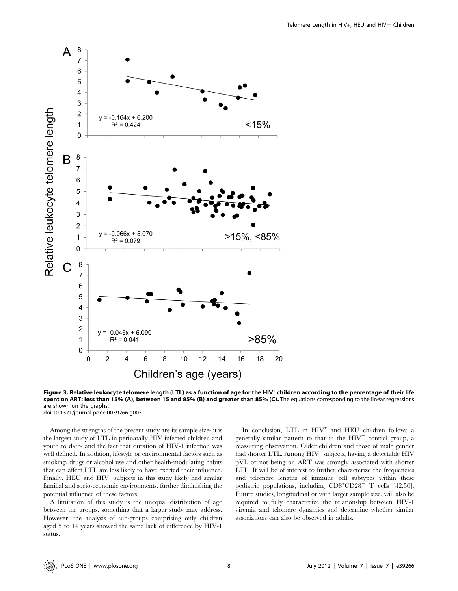

Figure 3. Relative leukocyte telomere length (LTL) as a function of age for the HIV<sup>+</sup> children according to the percentage of their life spent on ART: less than 15% (A), between 15 and 85% (B) and greater than 85% (C). The equations corresponding to the linear regressions are shown on the graphs. doi:10.1371/journal.pone.0039266.g003

Among the strengths of the present study are its sample size- it is the largest study of LTL in perinatally HIV infected children and youth to date- and the fact that duration of HIV-1 infection was well defined. In addition, lifestyle or environmental factors such as smoking, drugs or alcohol use and other health-modulating habits that can affect LTL are less likely to have exerted their influence. Finally,  $HEU$  and  $HIV<sup>+</sup>$  subjects in this study likely had similar familial and socio-economic environments, further diminishing the potential influence of these factors.

A limitation of this study is the unequal distribution of age between the groups, something that a larger study may address. However, the analysis of sub-groups comprising only children aged 5 to 14 years showed the same lack of difference by HIV-1 status.

In conclusion, LTL in HIV<sup>+</sup> and HEU children follows a generally similar pattern to that in the  $HIV^-$  control group, a reassuring observation. Older children and those of male gender had shorter LTL. Among  $HIV^+$  subjects, having a detectable  $HIV^$ pVL or not being on ART was strongly associated with shorter LTL. It will be of interest to further characterize the frequencies and telomere lengths of immune cell subtypes within these pediatric populations, including CD8<sup>+</sup>CD28<sup>-</sup> T cells [42,50]. Future studies, longitudinal or with larger sample size, will also be required to fully characterize the relationship between HIV-1 viremia and telomere dynamics and determine whether similar associations can also be observed in adults.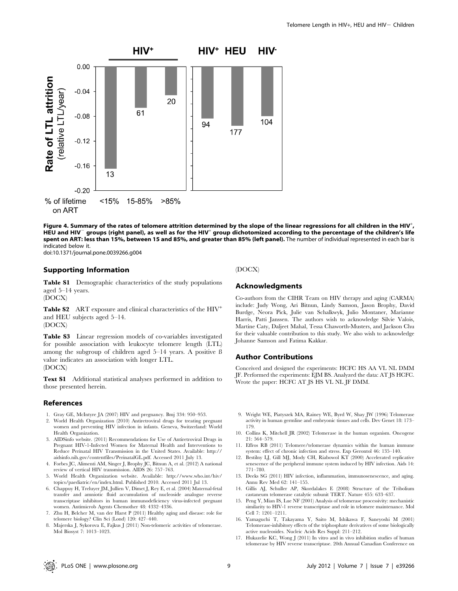

Figure 4. Summary of the rates of telomere attrition determined by the slope of the linear regressions for all children in the HIV $^\dagger$ , HEU and HIV<sup>-</sup> groups (right panel), as well as for the HIV<sup>+</sup> group dichotomized according to the percentage of the children's life spent on ART: less than 15%, between 15 and 85%, and greater than 85% (left panel). The number of individual represented in each bar is indicated below it.

doi:10.1371/journal.pone.0039266.g004

## Supporting Information

Table S1 Demographic characteristics of the study populations aged 5–14 years.

(DOCX)

Table S2 ART exposure and clinical characteristics of the HIV<sup>+</sup> and HEU subjects aged 5–14. (DOCX)

Table S3 Linear regression models of co-variables investigated for possible association with leukocyte telomere length (LTL) among the subgroup of children aged 5–14 years. A positive ß value indicates an association with longer LTL. (DOCX)

Text S1 Additional statistical analyses performed in addition to those presented herein.

#### References

- 1. Gray GE, McIntyre JA (2007) HIV and pregnancy. Bmj 334: 950–953.
- 2. World Health Organization (2010) Antiretroviral drugs for treating pregnant women and preventing HIV infection in infants. Geneva, Switzerland: World Health Organization.
- 3. AIDSinfo website. (2011) Recommendations for Use of Antiretroviral Drugs in Pregnant HIV-1-Infected Women for Maternal Health and Interventions to Reduce Perinatal HIV Transmission in the United States. Available: http:// aidsinfo.nih.gov/contentfiles/PerinatalGL.pdf. Accessed 2011 July 13.
- 4. Forbes JC, Alimenti AM, Singer J, Brophy JC, Bitnun A, et al. (2012) A national review of vertical HIV transmission. AIDS 26: 757–763.
- 5. World Health Organization website. Available: http://www.who.int/hiv/ topics/paediatric/en/index.html. Published 2010. Accessed 2011 Jul 13.
- 6. Chappuy H, Treluyer JM, Jullien V, Dimet J, Rey E, et al. (2004) Maternal-fetal transfer and amniotic fluid accumulation of nucleoside analogue reverse transcriptase inhibitors in human immunodeficiency virus-infected pregnant women. Antimicrob Agents Chemother 48: 4332–4336.
- 7. Zhu H, Belcher M, van der Harst P (2011) Healthy aging and disease: role for telomere biology? Clin Sci (Lond) 120: 427–440.
- 8. Majerska J, Sykorova E, Fajkus J (2011) Non-telomeric activities of telomerase. Mol Biosyst 7: 1013–1023.

#### (DOCX)

## Acknowledgments

Co-authors from the CIHR Team on HIV therapy and aging (CARMA) include: Judy Wong, Ari Bitnun, Lindy Samson, Jason Brophy, David Burdge, Neora Pick, Julie van Schalkwyk, Julio Montaner, Marianne Harris, Patti Janssen. The authors wish to acknowledge Silvie Valois, Martine Caty, Daljeet Mahal, Tessa Chaworth-Musters, and Jackson Chu for their valuable contribution to this study. We also wish to acknowledge Johanne Samson and Fatima Kakkar.

# Author Contributions

Conceived and designed the experiments: HCFC HS AA VL NL DMM JF. Performed the experiments: EJM BS. Analyzed the data: AT JS HCFC. Wrote the paper: HCFC AT JS HS VL NL JF DMM.

- 9. Wright WE, Piatyszek MA, Rainey WE, Byrd W, Shay JW (1996) Telomerase activity in human germline and embryonic tissues and cells. Dev Genet 18: 173– 179.
- 10. Collins K, Mitchell JR (2002) Telomerase in the human organism. Oncogene 21: 564–579.
- 11. Effros RB (2011) Telomere/telomerase dynamics within the human immune system: effect of chronic infection and stress. Exp Gerontol 46: 135–140.
- 12. Bestilny LJ, Gill MJ, Mody CH, Riabowol KT (2000) Accelerated replicative senescence of the peripheral immune system induced by HIV infection. Aids 14: 771–780.
- 13. Deeks SG (2011) HIV infection, inflammation, immunosenescence, and aging. Annu Rev Med 62: 141–155.
- 14. Gillis AJ, Schuller AP, Skordalakes E (2008) Structure of the Tribolium castaneum telomerase catalytic subunit TERT. Nature 455: 633–637.
- 15. Peng Y, Mian IS, Lue NF (2001) Analysis of telomerase processivity: mechanistic similarity to HIV-1 reverse transcriptase and role in telomere maintenance. Mol Cell 7: 1201–1211.
- 16. Yamaguchi T, Takayama Y, Saito M, Ishikawa F, Saneyoshi M (2001) Telomerase-inhibitory effects of the triphosphate derivatives of some biologically active nucleosides. Nucleic Acids Res Suppl: 211–212.
- 17. Hukazelie KC, Wong J (2011) In vitro and in vivo inhibition studies of human telomerase by HIV reverse transcriptase. 20th Annual Canadian Conference on